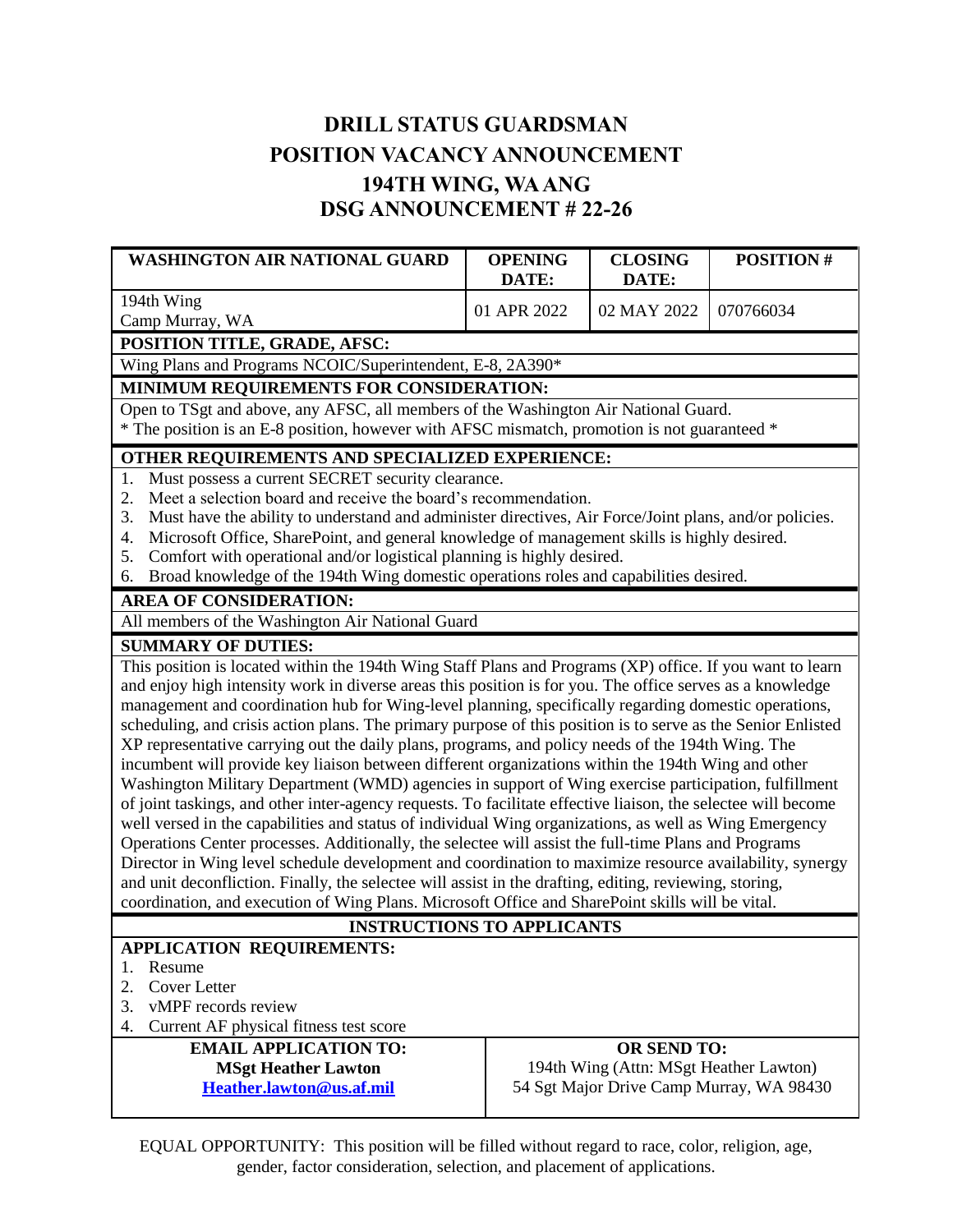## **DRILL STATUS GUARDSMAN POSITION VACANCY ANNOUNCEMENT 194TH WING, WA ANG DSG ANNOUNCEMENT # 22-26**

| <b>WASHINGTON AIR NATIONAL GUARD</b>                                                                                                                                                | <b>OPENING</b> | <b>CLOSING</b>                         | <b>POSITION#</b>                         |
|-------------------------------------------------------------------------------------------------------------------------------------------------------------------------------------|----------------|----------------------------------------|------------------------------------------|
|                                                                                                                                                                                     | DATE:          | DATE:                                  |                                          |
| 194th Wing                                                                                                                                                                          | 01 APR 2022    | 02 MAY 2022                            | 070766034                                |
| Camp Murray, WA                                                                                                                                                                     |                |                                        |                                          |
| POSITION TITLE, GRADE, AFSC:                                                                                                                                                        |                |                                        |                                          |
| Wing Plans and Programs NCOIC/Superintendent, E-8, 2A390*                                                                                                                           |                |                                        |                                          |
| MINIMUM REQUIREMENTS FOR CONSIDERATION:                                                                                                                                             |                |                                        |                                          |
| Open to TSgt and above, any AFSC, all members of the Washington Air National Guard.<br>* The position is an E-8 position, however with AFSC mismatch, promotion is not guaranteed * |                |                                        |                                          |
|                                                                                                                                                                                     |                |                                        |                                          |
| OTHER REQUIREMENTS AND SPECIALIZED EXPERIENCE:                                                                                                                                      |                |                                        |                                          |
| Must possess a current SECRET security clearance.<br>1.                                                                                                                             |                |                                        |                                          |
| Meet a selection board and receive the board's recommendation.<br>2.                                                                                                                |                |                                        |                                          |
| Must have the ability to understand and administer directives, Air Force/Joint plans, and/or policies.<br>3.                                                                        |                |                                        |                                          |
| Microsoft Office, SharePoint, and general knowledge of management skills is highly desired.<br>4.<br>Comfort with operational and/or logistical planning is highly desired.<br>5.   |                |                                        |                                          |
| Broad knowledge of the 194th Wing domestic operations roles and capabilities desired.<br>6.                                                                                         |                |                                        |                                          |
| <b>AREA OF CONSIDERATION:</b>                                                                                                                                                       |                |                                        |                                          |
| All members of the Washington Air National Guard                                                                                                                                    |                |                                        |                                          |
| <b>SUMMARY OF DUTIES:</b>                                                                                                                                                           |                |                                        |                                          |
| This position is located within the 194th Wing Staff Plans and Programs (XP) office. If you want to learn                                                                           |                |                                        |                                          |
| and enjoy high intensity work in diverse areas this position is for you. The office serves as a knowledge                                                                           |                |                                        |                                          |
| management and coordination hub for Wing-level planning, specifically regarding domestic operations,                                                                                |                |                                        |                                          |
| scheduling, and crisis action plans. The primary purpose of this position is to serve as the Senior Enlisted                                                                        |                |                                        |                                          |
| XP representative carrying out the daily plans, programs, and policy needs of the 194th Wing. The                                                                                   |                |                                        |                                          |
| incumbent will provide key liaison between different organizations within the 194th Wing and other                                                                                  |                |                                        |                                          |
| Washington Military Department (WMD) agencies in support of Wing exercise participation, fulfillment                                                                                |                |                                        |                                          |
| of joint taskings, and other inter-agency requests. To facilitate effective liaison, the selectee will become                                                                       |                |                                        |                                          |
| well versed in the capabilities and status of individual Wing organizations, as well as Wing Emergency                                                                              |                |                                        |                                          |
| Operations Center processes. Additionally, the selectee will assist the full-time Plans and Programs                                                                                |                |                                        |                                          |
| Director in Wing level schedule development and coordination to maximize resource availability, synergy                                                                             |                |                                        |                                          |
| and unit deconfliction. Finally, the selectee will assist in the drafting, editing, reviewing, storing,                                                                             |                |                                        |                                          |
| coordination, and execution of Wing Plans. Microsoft Office and SharePoint skills will be vital.                                                                                    |                |                                        |                                          |
| <b>INSTRUCTIONS TO APPLICANTS</b>                                                                                                                                                   |                |                                        |                                          |
| <b>APPLICATION REQUIREMENTS:</b><br>Resume                                                                                                                                          |                |                                        |                                          |
| 1.<br><b>Cover Letter</b><br>2.                                                                                                                                                     |                |                                        |                                          |
| vMPF records review<br>3.                                                                                                                                                           |                |                                        |                                          |
| Current AF physical fitness test score<br>4.                                                                                                                                        |                |                                        |                                          |
| <b>EMAIL APPLICATION TO:</b><br><b>OR SEND TO:</b>                                                                                                                                  |                |                                        |                                          |
| <b>MSgt Heather Lawton</b>                                                                                                                                                          |                | 194th Wing (Attn: MSgt Heather Lawton) |                                          |
| Heather.lawton@us.af.mil                                                                                                                                                            |                |                                        | 54 Sgt Major Drive Camp Murray, WA 98430 |
|                                                                                                                                                                                     |                |                                        |                                          |

EQUAL OPPORTUNITY: This position will be filled without regard to race, color, religion, age, gender, factor consideration, selection, and placement of applications.